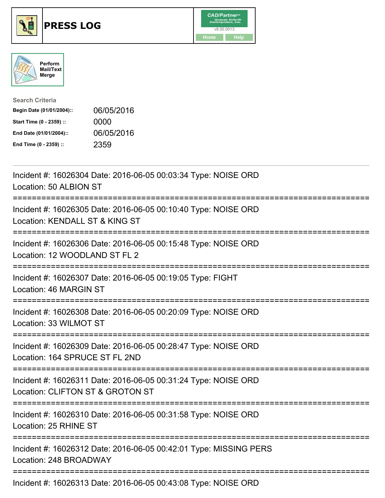





| <b>Search Criteria</b>    |            |
|---------------------------|------------|
| Begin Date (01/01/2004):: | 06/05/2016 |
| Start Time (0 - 2359) ::  | 0000       |
| End Date (01/01/2004)::   | 06/05/2016 |
| End Time (0 - 2359) ::    | 2359       |

| Incident #: 16026304 Date: 2016-06-05 00:03:34 Type: NOISE ORD<br>Location: 50 ALBION ST                                                              |
|-------------------------------------------------------------------------------------------------------------------------------------------------------|
| Incident #: 16026305 Date: 2016-06-05 00:10:40 Type: NOISE ORD<br>Location: KENDALL ST & KING ST                                                      |
| Incident #: 16026306 Date: 2016-06-05 00:15:48 Type: NOISE ORD<br>Location: 12 WOODLAND ST FL 2<br>.---------------------<br><u> ----------------</u> |
| Incident #: 16026307 Date: 2016-06-05 00:19:05 Type: FIGHT<br>Location: 46 MARGIN ST                                                                  |
| Incident #: 16026308 Date: 2016-06-05 00:20:09 Type: NOISE ORD<br>Location: 33 WILMOT ST                                                              |
| Incident #: 16026309 Date: 2016-06-05 00:28:47 Type: NOISE ORD<br>Location: 164 SPRUCE ST FL 2ND                                                      |
| Incident #: 16026311 Date: 2016-06-05 00:31:24 Type: NOISE ORD<br>Location: CLIFTON ST & GROTON ST                                                    |
| Incident #: 16026310 Date: 2016-06-05 00:31:58 Type: NOISE ORD<br>Location: 25 RHINE ST                                                               |
| ---------------------------<br>Incident #: 16026312 Date: 2016-06-05 00:42:01 Type: MISSING PERS<br>Location: 248 BROADWAY                            |
| $1.11.11.40000040.51.0040.00.05.00.40.00.7$ NOIOE ODD                                                                                                 |

Incident #: 16026313 Date: 2016-06-05 00:43:08 Type: NOISE ORD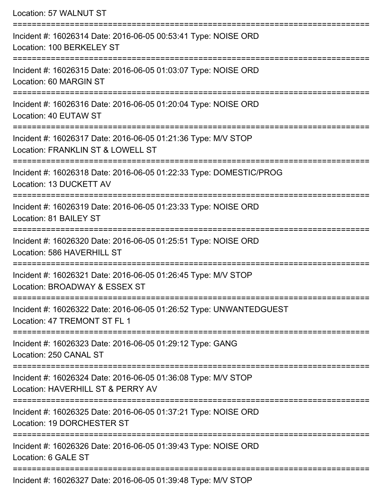| Location: 57 WALNUT ST                                                                             |
|----------------------------------------------------------------------------------------------------|
| Incident #: 16026314 Date: 2016-06-05 00:53:41 Type: NOISE ORD<br>Location: 100 BERKELEY ST        |
| Incident #: 16026315 Date: 2016-06-05 01:03:07 Type: NOISE ORD<br>Location: 60 MARGIN ST           |
| Incident #: 16026316 Date: 2016-06-05 01:20:04 Type: NOISE ORD<br>Location: 40 EUTAW ST            |
| Incident #: 16026317 Date: 2016-06-05 01:21:36 Type: M/V STOP<br>Location: FRANKLIN ST & LOWELL ST |
| Incident #: 16026318 Date: 2016-06-05 01:22:33 Type: DOMESTIC/PROG<br>Location: 13 DUCKETT AV      |
| Incident #: 16026319 Date: 2016-06-05 01:23:33 Type: NOISE ORD<br>Location: 81 BAILEY ST           |
| Incident #: 16026320 Date: 2016-06-05 01:25:51 Type: NOISE ORD<br>Location: 586 HAVERHILL ST       |
| Incident #: 16026321 Date: 2016-06-05 01:26:45 Type: M/V STOP<br>Location: BROADWAY & ESSEX ST     |
| Incident #: 16026322 Date: 2016-06-05 01:26:52 Type: UNWANTEDGUEST<br>Location: 47 TREMONT ST FL 1 |
| Incident #: 16026323 Date: 2016-06-05 01:29:12 Type: GANG<br>Location: 250 CANAL ST                |
| Incident #: 16026324 Date: 2016-06-05 01:36:08 Type: M/V STOP<br>Location: HAVERHILL ST & PERRY AV |
| Incident #: 16026325 Date: 2016-06-05 01:37:21 Type: NOISE ORD<br>Location: 19 DORCHESTER ST       |
| Incident #: 16026326 Date: 2016-06-05 01:39:43 Type: NOISE ORD<br>Location: 6 GALE ST              |
| Incident #: 16026327 Date: 2016-06-05 01:39:48 Tyne: MAI STOP                                      |

Incident #: 16026327 Date: 2016-06-05 01:39:48 Type: M/V STOP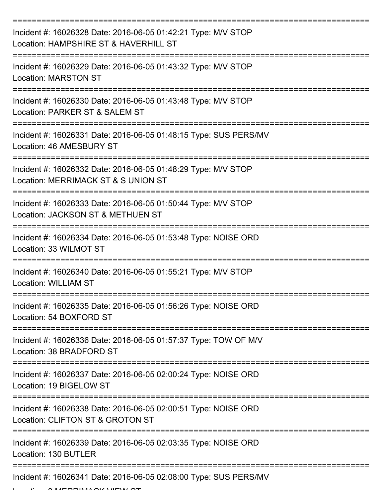| Incident #: 16026328 Date: 2016-06-05 01:42:21 Type: M/V STOP<br>Location: HAMPSHIRE ST & HAVERHILL ST |
|--------------------------------------------------------------------------------------------------------|
| Incident #: 16026329 Date: 2016-06-05 01:43:32 Type: M/V STOP<br><b>Location: MARSTON ST</b>           |
| Incident #: 16026330 Date: 2016-06-05 01:43:48 Type: M/V STOP<br>Location: PARKER ST & SALEM ST        |
| Incident #: 16026331 Date: 2016-06-05 01:48:15 Type: SUS PERS/MV<br>Location: 46 AMESBURY ST           |
| Incident #: 16026332 Date: 2016-06-05 01:48:29 Type: M/V STOP<br>Location: MERRIMACK ST & S UNION ST   |
| Incident #: 16026333 Date: 2016-06-05 01:50:44 Type: M/V STOP<br>Location: JACKSON ST & METHUEN ST     |
| Incident #: 16026334 Date: 2016-06-05 01:53:48 Type: NOISE ORD<br>Location: 33 WILMOT ST               |
| Incident #: 16026340 Date: 2016-06-05 01:55:21 Type: M/V STOP<br><b>Location: WILLIAM ST</b>           |
| Incident #: 16026335 Date: 2016-06-05 01:56:26 Type: NOISE ORD<br>Location: 54 BOXFORD ST              |
| Incident #: 16026336 Date: 2016-06-05 01:57:37 Type: TOW OF M/V<br>Location: 38 BRADFORD ST            |
| Incident #: 16026337 Date: 2016-06-05 02:00:24 Type: NOISE ORD<br>Location: 19 BIGELOW ST              |
| Incident #: 16026338 Date: 2016-06-05 02:00:51 Type: NOISE ORD<br>Location: CLIFTON ST & GROTON ST     |
| Incident #: 16026339 Date: 2016-06-05 02:03:35 Type: NOISE ORD<br>Location: 130 BUTLER                 |
| Incident #: 16026341 Date: 2016-06-05 02:08:00 Type: SUS PERS/MV                                       |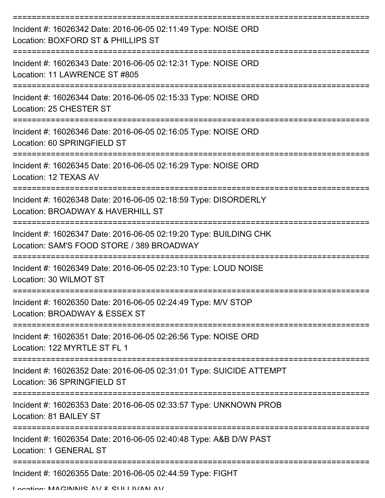| Incident #: 16026342 Date: 2016-06-05 02:11:49 Type: NOISE ORD<br>Location: BOXFORD ST & PHILLIPS ST           |
|----------------------------------------------------------------------------------------------------------------|
| Incident #: 16026343 Date: 2016-06-05 02:12:31 Type: NOISE ORD<br>Location: 11 LAWRENCE ST #805                |
| Incident #: 16026344 Date: 2016-06-05 02:15:33 Type: NOISE ORD<br>Location: 25 CHESTER ST                      |
| Incident #: 16026346 Date: 2016-06-05 02:16:05 Type: NOISE ORD<br>Location: 60 SPRINGFIELD ST                  |
| Incident #: 16026345 Date: 2016-06-05 02:16:29 Type: NOISE ORD<br>Location: 12 TEXAS AV                        |
| Incident #: 16026348 Date: 2016-06-05 02:18:59 Type: DISORDERLY<br>Location: BROADWAY & HAVERHILL ST           |
| Incident #: 16026347 Date: 2016-06-05 02:19:20 Type: BUILDING CHK<br>Location: SAM'S FOOD STORE / 389 BROADWAY |
| Incident #: 16026349 Date: 2016-06-05 02:23:10 Type: LOUD NOISE<br>Location: 30 WILMOT ST                      |
| Incident #: 16026350 Date: 2016-06-05 02:24:49 Type: M/V STOP<br>Location: BROADWAY & ESSEX ST                 |
| Incident #: 16026351 Date: 2016-06-05 02:26:56 Type: NOISE ORD<br>Location: 122 MYRTLE ST FL 1                 |
| Incident #: 16026352 Date: 2016-06-05 02:31:01 Type: SUICIDE ATTEMPT<br>Location: 36 SPRINGFIELD ST            |
| Incident #: 16026353 Date: 2016-06-05 02:33:57 Type: UNKNOWN PROB<br>Location: 81 BAILEY ST                    |
| Incident #: 16026354 Date: 2016-06-05 02:40:48 Type: A&B D/W PAST<br><b>Location: 1 GENERAL ST</b>             |
| Incident #: 16026355 Date: 2016-06-05 02:44:59 Type: FIGHT                                                     |

Location: MAGINNIS AV & SULLIVAN AV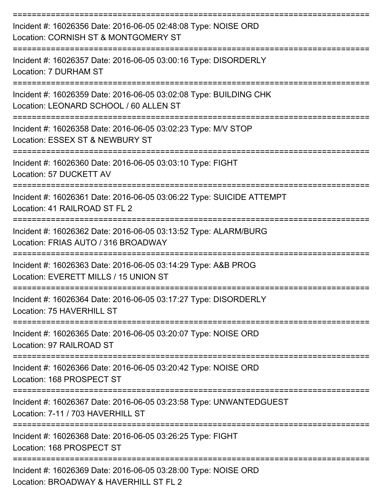| Incident #: 16026356 Date: 2016-06-05 02:48:08 Type: NOISE ORD<br>Location: CORNISH ST & MONTGOMERY ST<br>===========================    |
|------------------------------------------------------------------------------------------------------------------------------------------|
| Incident #: 16026357 Date: 2016-06-05 03:00:16 Type: DISORDERLY<br>Location: 7 DURHAM ST                                                 |
| Incident #: 16026359 Date: 2016-06-05 03:02:08 Type: BUILDING CHK<br>Location: LEONARD SCHOOL / 60 ALLEN ST<br>:======================== |
| Incident #: 16026358 Date: 2016-06-05 03:02:23 Type: M/V STOP<br>Location: ESSEX ST & NEWBURY ST<br>----------------                     |
| Incident #: 16026360 Date: 2016-06-05 03:03:10 Type: FIGHT<br>Location: 57 DUCKETT AV                                                    |
| Incident #: 16026361 Date: 2016-06-05 03:06:22 Type: SUICIDE ATTEMPT<br>Location: 41 RAILROAD ST FL 2                                    |
| ==========================<br>Incident #: 16026362 Date: 2016-06-05 03:13:52 Type: ALARM/BURG<br>Location: FRIAS AUTO / 316 BROADWAY     |
| Incident #: 16026363 Date: 2016-06-05 03:14:29 Type: A&B PROG<br>Location: EVERETT MILLS / 15 UNION ST                                   |
| Incident #: 16026364 Date: 2016-06-05 03:17:27 Type: DISORDERLY<br>Location: 75 HAVERHILL ST                                             |
| Incident #: 16026365 Date: 2016-06-05 03:20:07 Type: NOISE ORD<br>Location: 97 RAILROAD ST                                               |
| Incident #: 16026366 Date: 2016-06-05 03:20:42 Type: NOISE ORD<br>Location: 168 PROSPECT ST                                              |
| Incident #: 16026367 Date: 2016-06-05 03:23:58 Type: UNWANTEDGUEST<br>Location: 7-11 / 703 HAVERHILL ST                                  |
| Incident #: 16026368 Date: 2016-06-05 03:26:25 Type: FIGHT<br>Location: 168 PROSPECT ST                                                  |
| Incident #: 16026369 Date: 2016-06-05 03:28:00 Type: NOISE ORD<br>Location: BROADWAY & HAVERHILL ST FL 2                                 |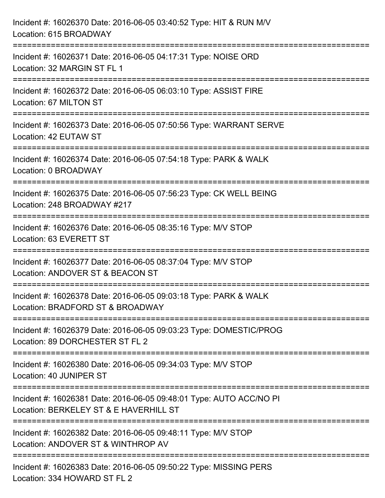| Incident #: 16026370 Date: 2016-06-05 03:40:52 Type: HIT & RUN M/V<br>Location: 615 BROADWAY                                        |
|-------------------------------------------------------------------------------------------------------------------------------------|
| Incident #: 16026371 Date: 2016-06-05 04:17:31 Type: NOISE ORD<br>Location: 32 MARGIN ST FL 1                                       |
| Incident #: 16026372 Date: 2016-06-05 06:03:10 Type: ASSIST FIRE<br>Location: 67 MILTON ST                                          |
| Incident #: 16026373 Date: 2016-06-05 07:50:56 Type: WARRANT SERVE<br>Location: 42 EUTAW ST                                         |
| Incident #: 16026374 Date: 2016-06-05 07:54:18 Type: PARK & WALK<br>Location: 0 BROADWAY                                            |
| Incident #: 16026375 Date: 2016-06-05 07:56:23 Type: CK WELL BEING<br>Location: 248 BROADWAY #217                                   |
| Incident #: 16026376 Date: 2016-06-05 08:35:16 Type: M/V STOP<br>Location: 63 EVERETT ST                                            |
| Incident #: 16026377 Date: 2016-06-05 08:37:04 Type: M/V STOP<br>Location: ANDOVER ST & BEACON ST                                   |
| Incident #: 16026378 Date: 2016-06-05 09:03:18 Type: PARK & WALK<br>Location: BRADFORD ST & BROADWAY                                |
| --------------------------<br>Incident #: 16026379 Date: 2016-06-05 09:03:23 Type: DOMESTIC/PROG<br>Location: 89 DORCHESTER ST FL 2 |
| Incident #: 16026380 Date: 2016-06-05 09:34:03 Type: M/V STOP<br>Location: 40 JUNIPER ST                                            |
| Incident #: 16026381 Date: 2016-06-05 09:48:01 Type: AUTO ACC/NO PI<br>Location: BERKELEY ST & E HAVERHILL ST                       |
| Incident #: 16026382 Date: 2016-06-05 09:48:11 Type: M/V STOP<br>Location: ANDOVER ST & WINTHROP AV                                 |
| Incident #: 16026383 Date: 2016-06-05 09:50:22 Type: MISSING PERS<br>Location: 334 HOWARD ST FL 2                                   |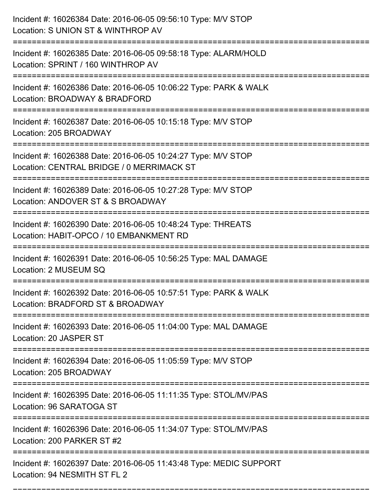| Incident #: 16026384 Date: 2016-06-05 09:56:10 Type: M/V STOP<br>Location: S UNION ST & WINTHROP AV                        |
|----------------------------------------------------------------------------------------------------------------------------|
| Incident #: 16026385 Date: 2016-06-05 09:58:18 Type: ALARM/HOLD<br>Location: SPRINT / 160 WINTHROP AV                      |
| Incident #: 16026386 Date: 2016-06-05 10:06:22 Type: PARK & WALK<br>Location: BROADWAY & BRADFORD<br>===================   |
| Incident #: 16026387 Date: 2016-06-05 10:15:18 Type: M/V STOP<br>Location: 205 BROADWAY                                    |
| Incident #: 16026388 Date: 2016-06-05 10:24:27 Type: M/V STOP<br>Location: CENTRAL BRIDGE / 0 MERRIMACK ST                 |
| Incident #: 16026389 Date: 2016-06-05 10:27:28 Type: M/V STOP<br>Location: ANDOVER ST & S BROADWAY                         |
| Incident #: 16026390 Date: 2016-06-05 10:48:24 Type: THREATS<br>Location: HABIT-OPCO / 10 EMBANKMENT RD                    |
| Incident #: 16026391 Date: 2016-06-05 10:56:25 Type: MAL DAMAGE<br>Location: 2 MUSEUM SQ                                   |
| Incident #: 16026392 Date: 2016-06-05 10:57:51 Type: PARK & WALK<br>Location: BRADFORD ST & BROADWAY                       |
| Incident #: 16026393 Date: 2016-06-05 11:04:00 Type: MAL DAMAGE<br>Location: 20 JASPER ST                                  |
| Incident #: 16026394 Date: 2016-06-05 11:05:59 Type: M/V STOP<br>Location: 205 BROADWAY                                    |
| Incident #: 16026395 Date: 2016-06-05 11:11:35 Type: STOL/MV/PAS<br>Location: 96 SARATOGA ST                               |
| ========================<br>Incident #: 16026396 Date: 2016-06-05 11:34:07 Type: STOL/MV/PAS<br>Location: 200 PARKER ST #2 |
| Incident #: 16026397 Date: 2016-06-05 11:43:48 Type: MEDIC SUPPORT<br>Location: 94 NESMITH ST FL 2                         |

===========================================================================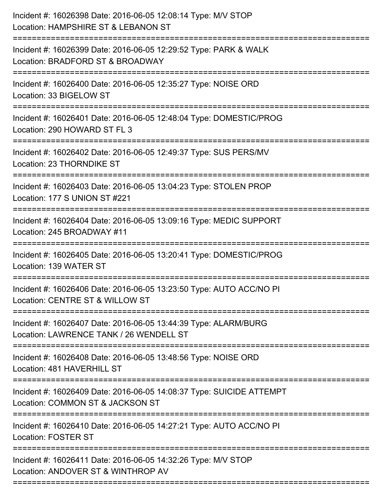| Incident #: 16026398 Date: 2016-06-05 12:08:14 Type: M/V STOP<br>Location: HAMPSHIRE ST & LEBANON ST                                     |
|------------------------------------------------------------------------------------------------------------------------------------------|
| ================================<br>Incident #: 16026399 Date: 2016-06-05 12:29:52 Type: PARK & WALK<br>Location: BRADFORD ST & BROADWAY |
| Incident #: 16026400 Date: 2016-06-05 12:35:27 Type: NOISE ORD<br>Location: 33 BIGELOW ST                                                |
| Incident #: 16026401 Date: 2016-06-05 12:48:04 Type: DOMESTIC/PROG<br>Location: 290 HOWARD ST FL 3<br>:=====================             |
| Incident #: 16026402 Date: 2016-06-05 12:49:37 Type: SUS PERS/MV<br>Location: 23 THORNDIKE ST                                            |
| Incident #: 16026403 Date: 2016-06-05 13:04:23 Type: STOLEN PROP<br>Location: 177 S UNION ST #221                                        |
| Incident #: 16026404 Date: 2016-06-05 13:09:16 Type: MEDIC SUPPORT<br>Location: 245 BROADWAY #11                                         |
| Incident #: 16026405 Date: 2016-06-05 13:20:41 Type: DOMESTIC/PROG<br>Location: 139 WATER ST                                             |
| Incident #: 16026406 Date: 2016-06-05 13:23:50 Type: AUTO ACC/NO PI<br>Location: CENTRE ST & WILLOW ST                                   |
| Incident #: 16026407 Date: 2016-06-05 13:44:39 Type: ALARM/BURG<br>Location: LAWRENCE TANK / 26 WENDELL ST                               |
| Incident #: 16026408 Date: 2016-06-05 13:48:56 Type: NOISE ORD<br>Location: 481 HAVERHILL ST                                             |
| Incident #: 16026409 Date: 2016-06-05 14:08:37 Type: SUICIDE ATTEMPT<br>Location: COMMON ST & JACKSON ST                                 |
| Incident #: 16026410 Date: 2016-06-05 14:27:21 Type: AUTO ACC/NO PI<br><b>Location: FOSTER ST</b>                                        |
| Incident #: 16026411 Date: 2016-06-05 14:32:26 Type: M/V STOP<br>Location: ANDOVER ST & WINTHROP AV                                      |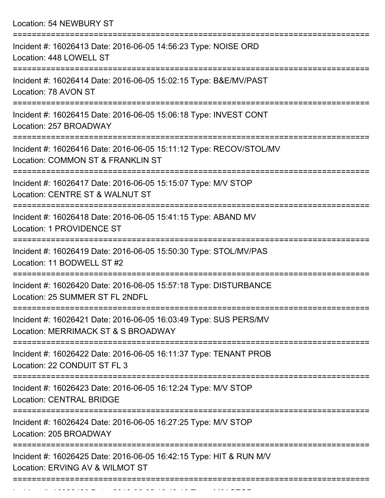Location: 54 NEWBURY ST =========================================================================== Incident #: 16026413 Date: 2016-06-05 14:56:23 Type: NOISE ORD Location: 448 LOWELL ST =========================================================================== Incident #: 16026414 Date: 2016-06-05 15:02:15 Type: B&E/MV/PAST Location: 78 AVON ST =========================================================================== Incident #: 16026415 Date: 2016-06-05 15:06:18 Type: INVEST CONT Location: 257 BROADWAY =========================================================================== Incident #: 16026416 Date: 2016-06-05 15:11:12 Type: RECOV/STOL/MV Location: COMMON ST & FRANKLIN ST =========================================================================== Incident #: 16026417 Date: 2016-06-05 15:15:07 Type: M/V STOP Location: CENTRE ST & WALNUT ST =========================================================================== Incident #: 16026418 Date: 2016-06-05 15:41:15 Type: ABAND MV Location: 1 PROVIDENCE ST =========================================================================== Incident #: 16026419 Date: 2016-06-05 15:50:30 Type: STOL/MV/PAS Location: 11 BODWELL ST #2 =========================================================================== Incident #: 16026420 Date: 2016-06-05 15:57:18 Type: DISTURBANCE Location: 25 SUMMER ST FL 2NDFL =========================================================================== Incident #: 16026421 Date: 2016-06-05 16:03:49 Type: SUS PERS/MV Location: MERRIMACK ST & S BROADWAY =========================================================================== Incident #: 16026422 Date: 2016-06-05 16:11:37 Type: TENANT PROB Location: 22 CONDUIT ST FL 3 =========================================================================== Incident #: 16026423 Date: 2016-06-05 16:12:24 Type: M/V STOP Location: CENTRAL BRIDGE =========================================================================== Incident #: 16026424 Date: 2016-06-05 16:27:25 Type: M/V STOP Location: 205 BROADWAY =========================================================================== Incident #: 16026425 Date: 2016-06-05 16:42:15 Type: HIT & RUN M/V

Location: ERVING AV & WILMOT ST

Incident #: 16026426 Date: 2016 06 05 16:43:10 Type: M/V STOP

===========================================================================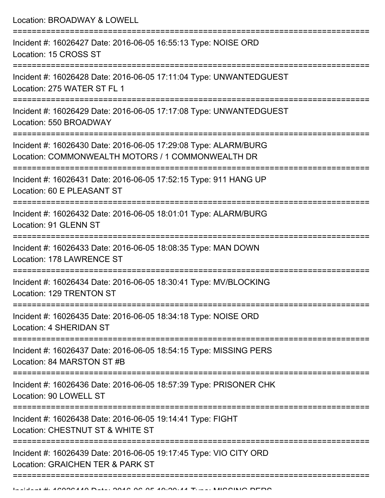Location: BROADWAY & LOWELL =========================================================================== Incident #: 16026427 Date: 2016-06-05 16:55:13 Type: NOISE ORD Location: 15 CROSS ST =========================================================================== Incident #: 16026428 Date: 2016-06-05 17:11:04 Type: UNWANTEDGUEST Location: 275 WATER ST FL 1 =========================================================================== Incident #: 16026429 Date: 2016-06-05 17:17:08 Type: UNWANTEDGUEST Location: 550 BROADWAY =========================================================================== Incident #: 16026430 Date: 2016-06-05 17:29:08 Type: ALARM/BURG Location: COMMONWEALTH MOTORS / 1 COMMONWEALTH DR =========================================================================== Incident #: 16026431 Date: 2016-06-05 17:52:15 Type: 911 HANG UP Location: 60 E PLEASANT ST =========================================================================== Incident #: 16026432 Date: 2016-06-05 18:01:01 Type: ALARM/BURG Location: 91 GLENN ST =========================================================================== Incident #: 16026433 Date: 2016-06-05 18:08:35 Type: MAN DOWN Location: 178 LAWRENCE ST =========================================================================== Incident #: 16026434 Date: 2016-06-05 18:30:41 Type: MV/BLOCKING Location: 129 TRENTON ST =========================================================================== Incident #: 16026435 Date: 2016-06-05 18:34:18 Type: NOISE ORD Location: 4 SHERIDAN ST =========================================================================== Incident #: 16026437 Date: 2016-06-05 18:54:15 Type: MISSING PERS Location: 84 MARSTON ST #B =========================================================================== Incident #: 16026436 Date: 2016-06-05 18:57:39 Type: PRISONER CHK Location: 90 LOWELL ST =========================================================================== Incident #: 16026438 Date: 2016-06-05 19:14:41 Type: FIGHT Location: CHESTNUT ST & WHITE ST =========================================================================== Incident #: 16026439 Date: 2016-06-05 19:17:45 Type: VIO CITY ORD Location: GRAICHEN TER & PARK ST ==================================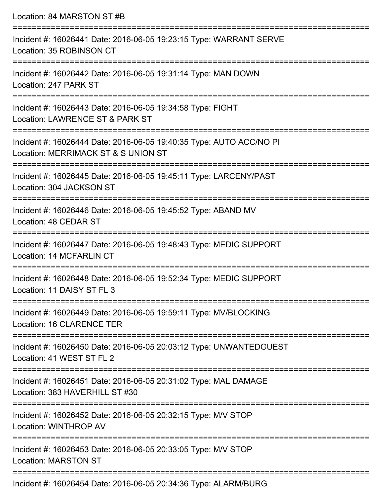| Location: 84 MARSTON ST #B                                                                                                                                          |
|---------------------------------------------------------------------------------------------------------------------------------------------------------------------|
| Incident #: 16026441 Date: 2016-06-05 19:23:15 Type: WARRANT SERVE<br>Location: 35 ROBINSON CT<br>;===================================<br>========================= |
| Incident #: 16026442 Date: 2016-06-05 19:31:14 Type: MAN DOWN<br>Location: 247 PARK ST                                                                              |
| Incident #: 16026443 Date: 2016-06-05 19:34:58 Type: FIGHT<br>Location: LAWRENCE ST & PARK ST<br>:====================================                              |
| Incident #: 16026444 Date: 2016-06-05 19:40:35 Type: AUTO ACC/NO PI<br>Location: MERRIMACK ST & S UNION ST<br>=======================                               |
| Incident #: 16026445 Date: 2016-06-05 19:45:11 Type: LARCENY/PAST<br>Location: 304 JACKSON ST                                                                       |
| Incident #: 16026446 Date: 2016-06-05 19:45:52 Type: ABAND MV<br>Location: 48 CEDAR ST                                                                              |
| Incident #: 16026447 Date: 2016-06-05 19:48:43 Type: MEDIC SUPPORT<br>Location: 14 MCFARLIN CT                                                                      |
| Incident #: 16026448 Date: 2016-06-05 19:52:34 Type: MEDIC SUPPORT<br>Location: 11 DAISY ST FL 3                                                                    |
| Incident #: 16026449 Date: 2016-06-05 19:59:11 Type: MV/BLOCKING<br>Location: 16 CLARENCE TER                                                                       |
| Incident #: 16026450 Date: 2016-06-05 20:03:12 Type: UNWANTEDGUEST<br>Location: 41 WEST ST FL 2                                                                     |
| Incident #: 16026451 Date: 2016-06-05 20:31:02 Type: MAL DAMAGE<br>Location: 383 HAVERHILL ST #30                                                                   |
| Incident #: 16026452 Date: 2016-06-05 20:32:15 Type: M/V STOP<br>Location: WINTHROP AV                                                                              |
| Incident #: 16026453 Date: 2016-06-05 20:33:05 Type: M/V STOP<br><b>Location: MARSTON ST</b>                                                                        |
| $\cdots$                                                                                                                                                            |

Incident #: 16026454 Date: 2016-06-05 20:34:36 Type: ALARM/BURG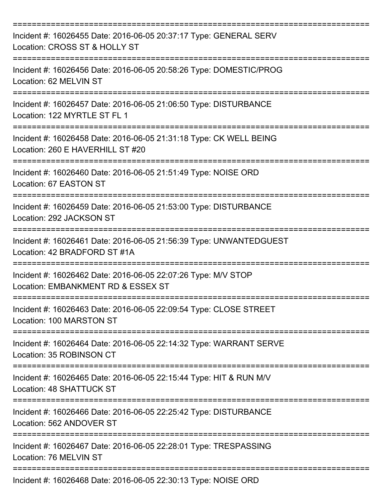| Incident #: 16026455 Date: 2016-06-05 20:37:17 Type: GENERAL SERV<br>Location: CROSS ST & HOLLY ST                               |
|----------------------------------------------------------------------------------------------------------------------------------|
| Incident #: 16026456 Date: 2016-06-05 20:58:26 Type: DOMESTIC/PROG<br>Location: 62 MELVIN ST                                     |
| Incident #: 16026457 Date: 2016-06-05 21:06:50 Type: DISTURBANCE<br>Location: 122 MYRTLE ST FL 1                                 |
| Incident #: 16026458 Date: 2016-06-05 21:31:18 Type: CK WELL BEING<br>Location: 260 E HAVERHILL ST #20                           |
| Incident #: 16026460 Date: 2016-06-05 21:51:49 Type: NOISE ORD<br>Location: 67 EASTON ST                                         |
| Incident #: 16026459 Date: 2016-06-05 21:53:00 Type: DISTURBANCE<br>Location: 292 JACKSON ST                                     |
| Incident #: 16026461 Date: 2016-06-05 21:56:39 Type: UNWANTEDGUEST<br>Location: 42 BRADFORD ST #1A                               |
| Incident #: 16026462 Date: 2016-06-05 22:07:26 Type: M/V STOP<br>Location: EMBANKMENT RD & ESSEX ST                              |
| Incident #: 16026463 Date: 2016-06-05 22:09:54 Type: CLOSE STREET<br>Location: 100 MARSTON ST                                    |
| ==============================<br>Incident #: 16026464 Date: 2016-06-05 22:14:32 Type: WARRANT SERVE<br>Location: 35 ROBINSON CT |
| Incident #: 16026465 Date: 2016-06-05 22:15:44 Type: HIT & RUN M/V<br>Location: 48 SHATTUCK ST                                   |
| Incident #: 16026466 Date: 2016-06-05 22:25:42 Type: DISTURBANCE<br>Location: 562 ANDOVER ST                                     |
| Incident #: 16026467 Date: 2016-06-05 22:28:01 Type: TRESPASSING<br>Location: 76 MELVIN ST                                       |
| Incident #: 16026468 Date: 2016-06-05 22:30:13 Type: NOISE ORD                                                                   |